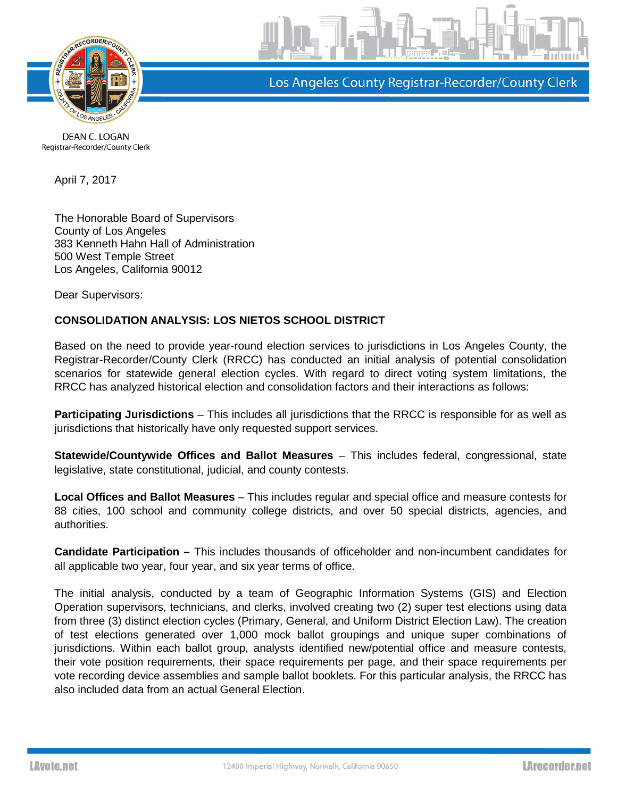

Los Angeles County Registrar-Recorder/County Clerk

DEAN C. LOGAN Registrar-Recorder/County Clerk

April 7, 2017

The Honorable Board of Supervisors County of Los Angeles 383 Kenneth Hahn Hall of Administration 500 West Temple Street Los Angeles, California 90012

Dear Supervisors:

## **CONSOLIDATION ANALYSIS: LOS NIETOS SCHOOL DISTRICT**

Based on the need to provide year-round election services to jurisdictions in Los Angeles County, the Registrar-Recorder/County Clerk (RRCC) has conducted an initial analysis of potential consolidation scenarios for statewide general election cycles. With regard to direct voting system limitations, the RRCC has analyzed historical election and consolidation factors and their interactions as follows:

**Participating Jurisdictions** – This includes all jurisdictions that the RRCC is responsible for as well as jurisdictions that historically have only requested support services.

**Statewide/Countywide Offices and Ballot Measures** – This includes federal, congressional, state legislative, state constitutional, judicial, and county contests.

**Local Offices and Ballot Measures** – This includes regular and special office and measure contests for 88 cities, 100 school and community college districts, and over 50 special districts, agencies, and authorities.

**Candidate Participation –** This includes thousands of officeholder and non-incumbent candidates for all applicable two year, four year, and six year terms of office.

The initial analysis, conducted by a team of Geographic Information Systems (GIS) and Election Operation supervisors, technicians, and clerks, involved creating two (2) super test elections using data from three (3) distinct election cycles (Primary, General, and Uniform District Election Law). The creation of test elections generated over 1,000 mock ballot groupings and unique super combinations of jurisdictions. Within each ballot group, analysts identified new/potential office and measure contests, their vote position requirements, their space requirements per page, and their space requirements per vote recording device assemblies and sample ballot booklets. For this particular analysis, the RRCC has also included data from an actual General Election.